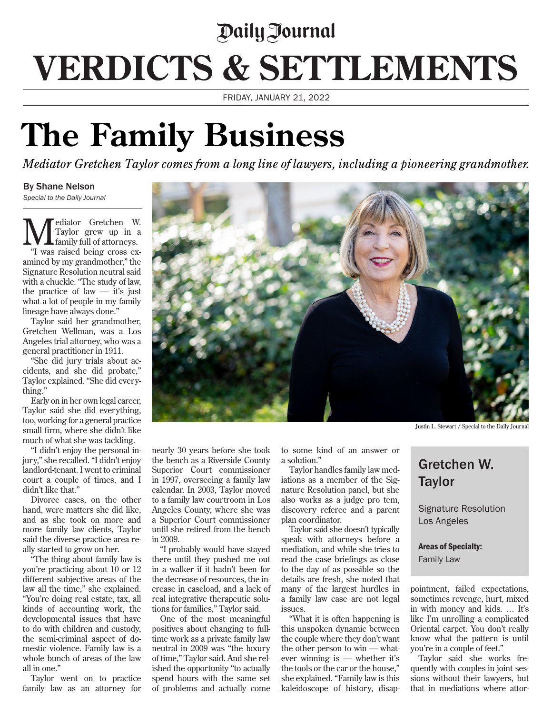## *<u>Daily Journal</u>* **VERDICTS & SETTLEMENTS**

FRIDAY, JANUARY 21, 2022

## **The Family Business**

*Mediator Gretchen Taylor comes from a long line of lawyers, including a pioneering grandmother.* 

## By Shane Nelson

*Special to the Daily Journal*

**M** Faylor grew up in a family full of attorneys. Taylor grew up in a family full of attorneys. "I was raised being cross examined by my grandmother," the Signature Resolution neutral said with a chuckle. "The study of law, the practice of law  $-$  it's just what a lot of people in my family lineage have always done."

Taylor said her grandmother, Gretchen Wellman, was a Los Angeles trial attorney, who was a general practitioner in 1911.

"She did jury trials about accidents, and she did probate," Taylor explained. "She did everything."

Early on in her own legal career, Taylor said she did everything, too, working for a general practice small firm, where she didn't like much of what she was tackling.

"I didn't enjoy the personal injury," she recalled. "I didn't enjoy landlord-tenant. I went to criminal court a couple of times, and I didn't like that."

Divorce cases, on the other hand, were matters she did like, and as she took on more and more family law clients, Taylor said the diverse practice area really started to grow on her.

"The thing about family law is you're practicing about 10 or 12 different subjective areas of the law all the time," she explained. "You're doing real estate, tax, all kinds of accounting work, the developmental issues that have to do with children and custody, the semi-criminal aspect of domestic violence. Family law is a whole bunch of areas of the law all in one."

Taylor went on to practice family law as an attorney for

nearly 30 years before she took the bench as a Riverside County Superior Court commissioner in 1997, overseeing a family law calendar. In 2003, Taylor moved to a family law courtroom in Los Angeles County, where she was a Superior Court commissioner until she retired from the bench in 2009.

"I probably would have stayed there until they pushed me out in a walker if it hadn't been for the decrease of resources, the increase in caseload, and a lack of real integrative therapeutic solutions for families," Taylor said.

One of the most meaningful positives about changing to fulltime work as a private family law neutral in 2009 was "the luxury of time," Taylor said. And she relished the opportunity "to actually spend hours with the same set of problems and actually come

to some kind of an answer or a solution."

Taylor handles family law mediations as a member of the Signature Resolution panel, but she also works as a judge pro tem, discovery referee and a parent plan coordinator.

Taylor said she doesn't typically speak with attorneys before a mediation, and while she tries to read the case briefings as close to the day of as possible so the details are fresh, she noted that many of the largest hurdles in a family law case are not legal issues.

"What it is often happening is this unspoken dynamic between the couple where they don't want the other person to win — whatever winning is — whether it's the tools or the car or the house," she explained. "Family law is this kaleidoscope of history, disap-

Justin L. Stewart / Special to the Daily Journal

## Gretchen W. **Taylor**

Signature Resolution Los Angeles

Areas of Specialty:

Family Law

pointment, failed expectations, sometimes revenge, hurt, mixed in with money and kids. … It's like I'm unrolling a complicated Oriental carpet. You don't really know what the pattern is until you're in a couple of feet."

Taylor said she works frequently with couples in joint sessions without their lawyers, but that in mediations where attor-